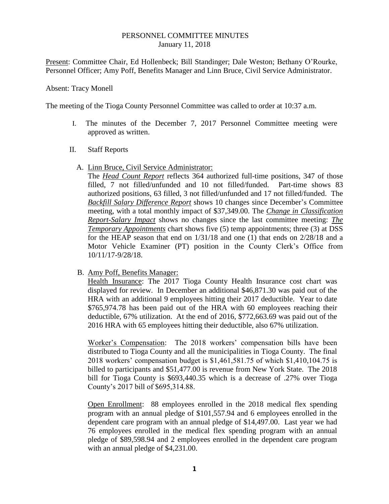## PERSONNEL COMMITTEE MINUTES January 11, 2018

Present: Committee Chair, Ed Hollenbeck; Bill Standinger; Dale Weston; Bethany O'Rourke, Personnel Officer; Amy Poff, Benefits Manager and Linn Bruce, Civil Service Administrator.

## Absent: Tracy Monell

The meeting of the Tioga County Personnel Committee was called to order at 10:37 a.m.

- I. The minutes of the December 7, 2017 Personnel Committee meeting were approved as written.
- II. Staff Reports
	- A. Linn Bruce, Civil Service Administrator:

The *Head Count Report* reflects 364 authorized full-time positions, 347 of those filled, 7 not filled/unfunded and 10 not filled/funded. Part-time shows 83 authorized positions, 63 filled, 3 not filled/unfunded and 17 not filled/funded. The *Backfill Salary Difference Report* shows 10 changes since December's Committee meeting, with a total monthly impact of \$37,349.00. The *Change in Classification Report-Salary Impact* shows no changes since the last committee meeting: *The Temporary Appointments* chart shows five (5) temp appointments; three (3) at DSS for the HEAP season that end on  $1/31/18$  and one (1) that ends on  $2/28/18$  and a Motor Vehicle Examiner (PT) position in the County Clerk's Office from 10/11/17-9/28/18.

B. Amy Poff, Benefits Manager:

Health Insurance: The 2017 Tioga County Health Insurance cost chart was displayed for review. In December an additional \$46,871.30 was paid out of the HRA with an additional 9 employees hitting their 2017 deductible. Year to date \$765,974.78 has been paid out of the HRA with 60 employees reaching their deductible, 67% utilization. At the end of 2016, \$772,663.69 was paid out of the 2016 HRA with 65 employees hitting their deductible, also 67% utilization.

Worker's Compensation: The 2018 workers' compensation bills have been distributed to Tioga County and all the municipalities in Tioga County. The final 2018 workers' compensation budget is \$1,461,581.75 of which \$1,410,104.75 is billed to participants and \$51,477.00 is revenue from New York State. The 2018 bill for Tioga County is \$693,440.35 which is a decrease of .27% over Tioga County's 2017 bill of \$695,314.88.

Open Enrollment: 88 employees enrolled in the 2018 medical flex spending program with an annual pledge of \$101,557.94 and 6 employees enrolled in the dependent care program with an annual pledge of \$14,497.00. Last year we had 76 employees enrolled in the medical flex spending program with an annual pledge of \$89,598.94 and 2 employees enrolled in the dependent care program with an annual pledge of \$4,231.00.